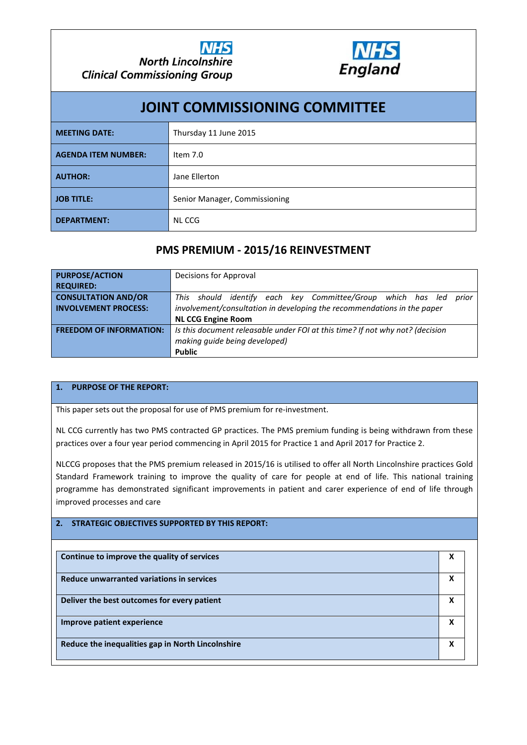

| <b>JOINT COMMISSIONING COMMITTEE</b> |                               |  |  |  |  |
|--------------------------------------|-------------------------------|--|--|--|--|
| <b>MEETING DATE:</b>                 | Thursday 11 June 2015         |  |  |  |  |
| <b>AGENDA ITEM NUMBER:</b>           | Item $7.0$                    |  |  |  |  |
| <b>AUTHOR:</b>                       | Jane Ellerton                 |  |  |  |  |
| <b>JOB TITLE:</b>                    | Senior Manager, Commissioning |  |  |  |  |
| <b>DEPARTMENT:</b>                   | <b>NLCCG</b>                  |  |  |  |  |

## **PMS PREMIUM - 2015/16 REINVESTMENT**

| <b>PURPOSE/ACTION</b>          | Decisions for Approval                                                        |  |  |  |  |  |
|--------------------------------|-------------------------------------------------------------------------------|--|--|--|--|--|
| <b>REQUIRED:</b>               |                                                                               |  |  |  |  |  |
| <b>CONSULTATION AND/OR</b>     | identify each key Committee/Group which has led<br>This should<br>prior       |  |  |  |  |  |
| <b>INVOLVEMENT PROCESS:</b>    | involvement/consultation in developing the recommendations in the paper       |  |  |  |  |  |
|                                | <b>NL CCG Engine Room</b>                                                     |  |  |  |  |  |
| <b>FREEDOM OF INFORMATION:</b> | Is this document releasable under FOI at this time? If not why not? (decision |  |  |  |  |  |
|                                | making quide being developed)                                                 |  |  |  |  |  |
|                                | <b>Public</b>                                                                 |  |  |  |  |  |

### **1. PURPOSE OF THE REPORT:**

This paper sets out the proposal for use of PMS premium for re-investment.

NL CCG currently has two PMS contracted GP practices. The PMS premium funding is being withdrawn from these practices over a four year period commencing in April 2015 for Practice 1 and April 2017 for Practice 2.

NLCCG proposes that the PMS premium released in 2015/16 is utilised to offer all North Lincolnshire practices Gold Standard Framework training to improve the quality of care for people at end of life. This national training programme has demonstrated significant improvements in patient and carer experience of end of life through improved processes and care

### **2. STRATEGIC OBJECTIVES SUPPORTED BY THIS REPORT:**

| Continue to improve the quality of services       | X |
|---------------------------------------------------|---|
| Reduce unwarranted variations in services         | X |
| Deliver the best outcomes for every patient       | X |
| Improve patient experience                        | X |
| Reduce the inequalities gap in North Lincolnshire | x |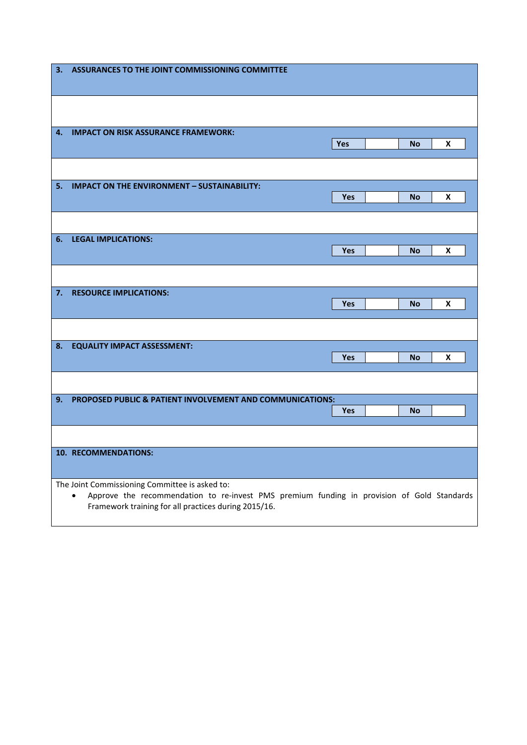| з.                                                                                                                                                                                                        | ASSURANCES TO THE JOINT COMMISSIONING COMMITTEE           |            |  |           |   |
|-----------------------------------------------------------------------------------------------------------------------------------------------------------------------------------------------------------|-----------------------------------------------------------|------------|--|-----------|---|
|                                                                                                                                                                                                           |                                                           |            |  |           |   |
| 4.                                                                                                                                                                                                        | <b>IMPACT ON RISK ASSURANCE FRAMEWORK:</b>                | Yes        |  | <b>No</b> | X |
|                                                                                                                                                                                                           |                                                           |            |  |           |   |
| 5.                                                                                                                                                                                                        | <b>IMPACT ON THE ENVIRONMENT - SUSTAINABILITY:</b>        | Yes        |  | <b>No</b> | X |
|                                                                                                                                                                                                           |                                                           |            |  |           |   |
| 6.                                                                                                                                                                                                        | <b>LEGAL IMPLICATIONS:</b>                                | <b>Yes</b> |  | No        | X |
|                                                                                                                                                                                                           |                                                           |            |  |           |   |
| 7.                                                                                                                                                                                                        | <b>RESOURCE IMPLICATIONS:</b>                             | <b>Yes</b> |  | No        | X |
|                                                                                                                                                                                                           |                                                           |            |  |           |   |
| 8.                                                                                                                                                                                                        | <b>EQUALITY IMPACT ASSESSMENT:</b>                        | <b>Yes</b> |  | No        | X |
|                                                                                                                                                                                                           |                                                           |            |  |           |   |
| 9.                                                                                                                                                                                                        | PROPOSED PUBLIC & PATIENT INVOLVEMENT AND COMMUNICATIONS: | <b>Yes</b> |  | <b>No</b> |   |
|                                                                                                                                                                                                           |                                                           |            |  |           |   |
|                                                                                                                                                                                                           | 10. RECOMMENDATIONS:                                      |            |  |           |   |
| The Joint Commissioning Committee is asked to:<br>Approve the recommendation to re-invest PMS premium funding in provision of Gold Standards<br>٠<br>Framework training for all practices during 2015/16. |                                                           |            |  |           |   |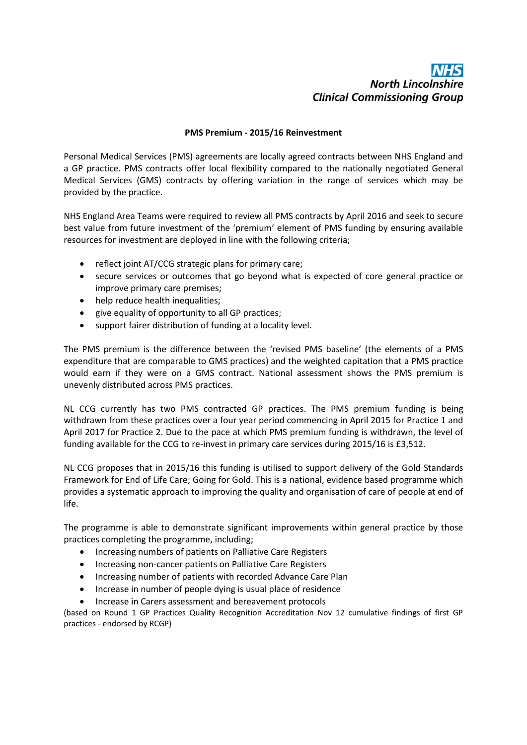# **North Lincolnshire Clinical Commissioning Group**

#### **PMS Premium - 2015/16 Reinvestment**

Personal Medical Services (PMS) agreements are locally agreed contracts between NHS England and a GP practice. PMS contracts offer local flexibility compared to the nationally negotiated General Medical Services (GMS) contracts by offering variation in the range of services which may be provided by the practice.

NHS England Area Teams were required to review all PMS contracts by April 2016 and seek to secure best value from future investment of the 'premium' element of PMS funding by ensuring available resources for investment are deployed in line with the following criteria;

- reflect joint AT/CCG strategic plans for primary care;
- secure services or outcomes that go beyond what is expected of core general practice or improve primary care premises;
- help reduce health inequalities;
- give equality of opportunity to all GP practices;
- support fairer distribution of funding at a locality level.

The PMS premium is the difference between the 'revised PMS baseline' (the elements of a PMS expenditure that are comparable to GMS practices) and the weighted capitation that a PMS practice would earn if they were on a GMS contract. National assessment shows the PMS premium is unevenly distributed across PMS practices.

NL CCG currently has two PMS contracted GP practices. The PMS premium funding is being withdrawn from these practices over a four year period commencing in April 2015 for Practice 1 and April 2017 for Practice 2. Due to the pace at which PMS premium funding is withdrawn, the level of funding available for the CCG to re-invest in primary care services during 2015/16 is £3,512.

NL CCG proposes that in 2015/16 this funding is utilised to support delivery of the Gold Standards Framework for End of Life Care; Going for Gold. This is a national, evidence based programme which provides a systematic approach to improving the quality and organisation of care of people at end of life.

The programme is able to demonstrate significant improvements within general practice by those practices completing the programme, including;

- Increasing numbers of patients on Palliative Care Registers
- Increasing non-cancer patients on Palliative Care Registers
- Increasing number of patients with recorded Advance Care Plan
- Increase in number of people dying is usual place of residence
- Increase in Carers assessment and bereavement protocols

(based on Round 1 GP Practices Quality Recognition Accreditation Nov 12 cumulative findings of first GP practices - endorsed by RCGP)